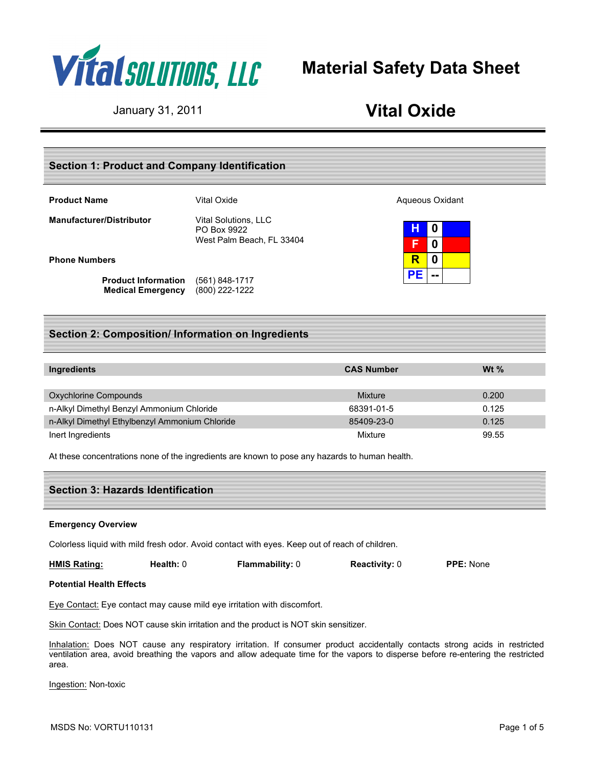

# **Material Safety Data Sheet**

## January 31, 2011 **Vital Oxide**

## **Section 1: Product and Company Identification**

| <b>Product Name</b> |  |
|---------------------|--|
|---------------------|--|

**Manufacturer/Distributor** Vital Solutions, LLC

PO Box 9922 West Palm Beach, FL 33404

#### **Phone Numbers**

**Product Information** (561) 848-1717 **Medical Emergency** (800) 222-1222

**Product Adventured Vital Oxide Aqueous Oxidant** 

**H 0 F 0 R 0 PE --**

## **Section 2: Composition/ Information on Ingredients**

| Ingredients                                    | <b>CAS Number</b> | Wt $%$ |
|------------------------------------------------|-------------------|--------|
|                                                |                   |        |
| Oxychlorine Compounds                          | Mixture           | 0.200  |
| n-Alkyl Dimethyl Benzyl Ammonium Chloride      | 68391-01-5        | 0.125  |
| n-Alkyl Dimethyl Ethylbenzyl Ammonium Chloride | 85409-23-0        | 0.125  |
| Inert Ingredients                              | Mixture           | 99.55  |

At these concentrations none of the ingredients are known to pose any hazards to human health.

| <b>Section 3: Hazards Identification</b> |  |
|------------------------------------------|--|
|                                          |  |

#### **Emergency Overview**

Colorless liquid with mild fresh odor. Avoid contact with eyes. Keep out of reach of children.

**HMIS Rating: Health:** 0 **Flammability:** 0 **Reactivity:** 0 **PPE:** None

#### **Potential Health Effects**

Eye Contact: Eye contact may cause mild eye irritation with discomfort.

Skin Contact: Does NOT cause skin irritation and the product is NOT skin sensitizer.

Inhalation: Does NOT cause any respiratory irritation. If consumer product accidentally contacts strong acids in restricted ventilation area, avoid breathing the vapors and allow adequate time for the vapors to disperse before re-entering the restricted area.

Ingestion: Non-toxic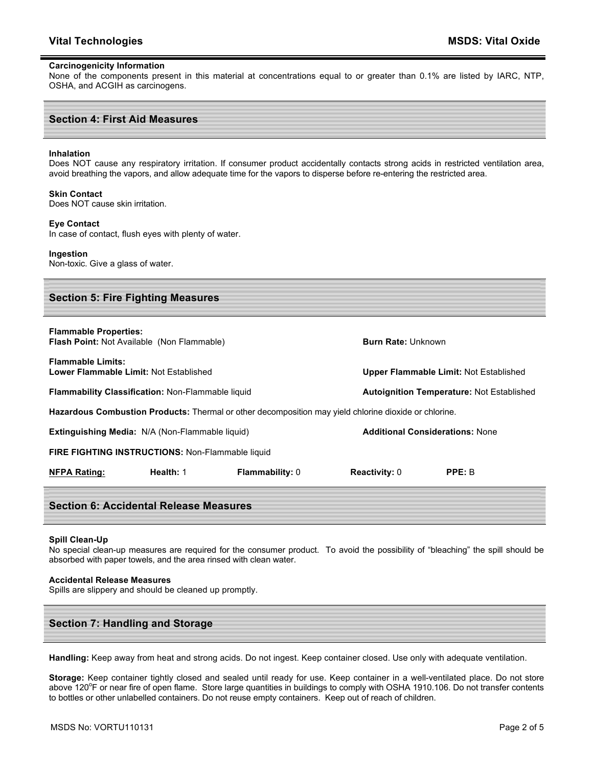#### **Carcinogenicity Information**

None of the components present in this material at concentrations equal to or greater than 0.1% are listed by IARC, NTP, OSHA, and ACGIH as carcinogens.

#### **Section 4: First Aid Measures**

#### **Inhalation**

Does NOT cause any respiratory irritation. If consumer product accidentally contacts strong acids in restricted ventilation area, avoid breathing the vapors, and allow adequate time for the vapors to disperse before re-entering the restricted area.

#### **Skin Contact**

Does NOT cause skin irritation.

#### **Eye Contact**

In case of contact, flush eyes with plenty of water.

## **Ingestion**

Non-toxic. Give a glass of water.

| <b>Section 5: Fire Fighting Measures</b>                                                              |                                                        |                        |                                                  |        |  |
|-------------------------------------------------------------------------------------------------------|--------------------------------------------------------|------------------------|--------------------------------------------------|--------|--|
| <b>Flammable Properties:</b><br><b>Flash Point: Not Available (Non Flammable)</b>                     |                                                        |                        | <b>Burn Rate: Unknown</b>                        |        |  |
| <b>Flammable Limits:</b><br>Lower Flammable Limit: Not Established                                    |                                                        |                        | Upper Flammable Limit: Not Established           |        |  |
| <b>Flammability Classification: Non-Flammable liquid</b>                                              |                                                        |                        | <b>Autoignition Temperature: Not Established</b> |        |  |
| Hazardous Combustion Products: Thermal or other decomposition may yield chlorine dioxide or chlorine. |                                                        |                        |                                                  |        |  |
|                                                                                                       | <b>Extinguishing Media:</b> N/A (Non-Flammable liquid) |                        | <b>Additional Considerations: None</b>           |        |  |
| <b>FIRE FIGHTING INSTRUCTIONS: Non-Flammable liquid</b>                                               |                                                        |                        |                                                  |        |  |
| <b>NFPA Rating:</b>                                                                                   | Health: 1                                              | <b>Flammability: 0</b> | <b>Reactivity: 0</b>                             | PPE: B |  |
| <b>Section 6: Accidental Release Measures</b>                                                         |                                                        |                        |                                                  |        |  |

#### **Spill Clean-Up**

No special clean-up measures are required for the consumer product. To avoid the possibility of "bleaching" the spill should be absorbed with paper towels, and the area rinsed with clean water.

#### **Accidental Release Measures**

Spills are slippery and should be cleaned up promptly.

## **Section 7: Handling and Storage**

**Handling:** Keep away from heat and strong acids. Do not ingest. Keep container closed. Use only with adequate ventilation.

**Storage:** Keep container tightly closed and sealed until ready for use. Keep container in a well-ventilated place. Do not store above 120°F or near fire of open flame. Store large quantities in buildings to comply with OSHA 1910.106. Do not transfer contents to bottles or other unlabelled containers. Do not reuse empty containers. Keep out of reach of children.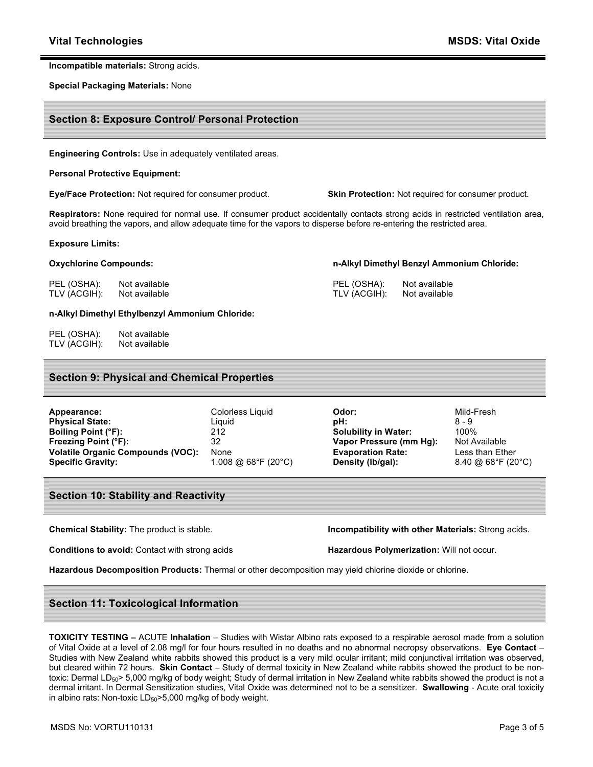#### **Incompatible materials:** Strong acids.

**Special Packaging Materials:** None

## **Section 8: Exposure Control/ Personal Protection**

**Engineering Controls:** Use in adequately ventilated areas.

#### **Personal Protective Equipment:**

**Eye/Face Protection:** Not required for consumer product. **Skin Protection:** Not required for consumer product.

**n-Alkyl Dimethyl Benzyl Ammonium Chloride:**

PEL (OSHA): Not available TLV (ACGIH): Not available

**Respirators:** None required for normal use. If consumer product accidentally contacts strong acids in restricted ventilation area, avoid breathing the vapors, and allow adequate time for the vapors to disperse before re-entering the restricted area.

#### **Exposure Limits:**

#### **Oxychlorine Compounds:**

PEL (OSHA): Not available TLV (ACGIH): Not available

#### **n-Alkyl Dimethyl Ethylbenzyl Ammonium Chloride:**

PEL (OSHA): Not available TLV (ACGIH): Not available

## **Section 9: Physical and Chemical Properties**

| Appearance:                              | Colorless Liquid    | Odor:                       | Mild-Fresh    |
|------------------------------------------|---------------------|-----------------------------|---------------|
| <b>Physical State:</b>                   | Liauid              | pH:                         | $8 - 9$       |
| Boiling Point (°F):                      | 212                 | <b>Solubility in Water:</b> | 100%          |
| Freezing Point (°F):                     | 32                  | Vapor Pressure (mm Hg):     | Not Availa    |
| <b>Volatile Organic Compounds (VOC):</b> | None                | <b>Evaporation Rate:</b>    | Less than     |
| <b>Specific Gravity:</b>                 | 1.008 @ 68°F (20°C) | Density (lb/gal):           | $8.40 \ @ 68$ |

**Solubility in Water:** 100% **Vapor Pressure (mm Hg):** Not Available **Evaporation Rate:** Less than Ether **Specific Gravity:** 1.008 @ 68°F (20°C) **Density (lb/gal):** 8.40 @ 68°F (20°C)

## **Section 10: Stability and Reactivity**

**Chemical Stability:** The product is stable. **Incompatibility with other Materials:** Strong acids.

**Conditions to avoid:** Contact with strong acids **Hazardous Polymerization:** Will not occur.

**Hazardous Decomposition Products:** Thermal or other decomposition may yield chlorine dioxide or chlorine.

## **Section 11: Toxicological Information**

**TOXICITY TESTING –** ACUTE **Inhalation** – Studies with Wistar Albino rats exposed to a respirable aerosol made from a solution of Vital Oxide at a level of 2.08 mg/l for four hours resulted in no deaths and no abnormal necropsy observations. **Eye Contact** – Studies with New Zealand white rabbits showed this product is a very mild ocular irritant; mild conjunctival irritation was observed, but cleared within 72 hours. **Skin Contact** – Study of dermal toxicity in New Zealand white rabbits showed the product to be nontoxic: Dermal LD<sub>50</sub>> 5,000 mg/kg of body weight; Study of dermal irritation in New Zealand white rabbits showed the product is not a dermal irritant. In Dermal Sensitization studies, Vital Oxide was determined not to be a sensitizer. **Swallowing** - Acute oral toxicity in albino rats: Non-toxic  $LD_{50}$  > 5,000 mg/kg of body weight.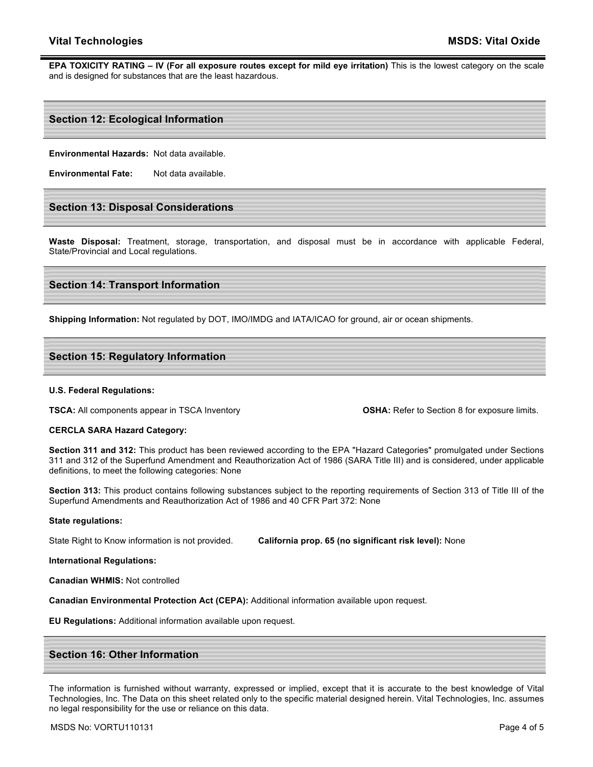## **Vital Technologies MSDS: Vital Oxide**

**EPA TOXICITY RATING – IV (For all exposure routes except for mild eye irritation)** This is the lowest category on the scale and is designed for substances that are the least hazardous.

## **Section 12: Ecological Information**

**Environmental Hazards:** Not data available.

**Environmental Fate:** Not data available.

## **Section 13: Disposal Considerations**

**Waste Disposal:** Treatment, storage, transportation, and disposal must be in accordance with applicable Federal, State/Provincial and Local regulations.

## **Section 14: Transport Information**

**Shipping Information:** Not regulated by DOT, IMO/IMDG and IATA/ICAO for ground, air or ocean shipments.

## **Section 15: Regulatory Information**

#### **U.S. Federal Regulations:**

**TSCA:** All components appear in TSCA Inventory **OSHA:** Refer to Section 8 for exposure limits.

#### **CERCLA SARA Hazard Category:**

**Section 311 and 312:** This product has been reviewed according to the EPA "Hazard Categories" promulgated under Sections 311 and 312 of the Superfund Amendment and Reauthorization Act of 1986 (SARA Title III) and is considered, under applicable definitions, to meet the following categories: None

**Section 313:** This product contains following substances subject to the reporting requirements of Section 313 of Title III of the Superfund Amendments and Reauthorization Act of 1986 and 40 CFR Part 372: None

#### **State regulations:**

State Right to Know information is not provided. **California prop. 65 (no significant risk level):** None

#### **International Regulations:**

**Canadian WHMIS:** Not controlled

**Canadian Environmental Protection Act (CEPA):** Additional information available upon request.

**EU Regulations:** Additional information available upon request.

## **Section 16: Other Information**

The information is furnished without warranty, expressed or implied, except that it is accurate to the best knowledge of Vital Technologies, Inc. The Data on this sheet related only to the specific material designed herein. Vital Technologies, Inc. assumes no legal responsibility for the use or reliance on this data.